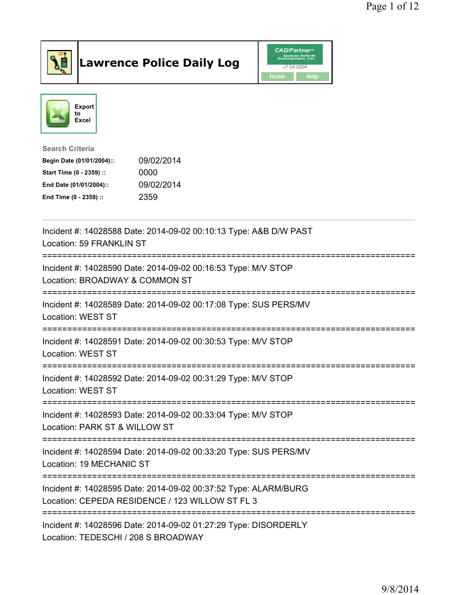

## Lawrence Police Daily Log **Daniel CAD/Partner**





Search Criteria Begin Date (01/01/2004):: 09/02/2014 Start Time (0 - 2359) :: 0000 End Date (01/01/2004):: 09/02/2014 End Time (0 - 2359) :: 2359

| Incident #: 14028588 Date: 2014-09-02 00:10:13 Type: A&B D/W PAST<br>Location: 59 FRANKLIN ST                      |
|--------------------------------------------------------------------------------------------------------------------|
| Incident #: 14028590 Date: 2014-09-02 00:16:53 Type: M/V STOP<br>Location: BROADWAY & COMMON ST                    |
| Incident #: 14028589 Date: 2014-09-02 00:17:08 Type: SUS PERS/MV<br>Location: WEST ST                              |
| Incident #: 14028591 Date: 2014-09-02 00:30:53 Type: M/V STOP<br>Location: WEST ST                                 |
| Incident #: 14028592 Date: 2014-09-02 00:31:29 Type: M/V STOP<br><b>Location: WEST ST</b>                          |
| Incident #: 14028593 Date: 2014-09-02 00:33:04 Type: M/V STOP<br>Location: PARK ST & WILLOW ST                     |
| Incident #: 14028594 Date: 2014-09-02 00:33:20 Type: SUS PERS/MV<br>Location: 19 MECHANIC ST                       |
| Incident #: 14028595 Date: 2014-09-02 00:37:52 Type: ALARM/BURG<br>Location: CEPEDA RESIDENCE / 123 WILLOW ST FL 3 |
| Incident #: 14028596 Date: 2014-09-02 01:27:29 Type: DISORDERLY<br>Location: TEDESCHI / 208 S BROADWAY             |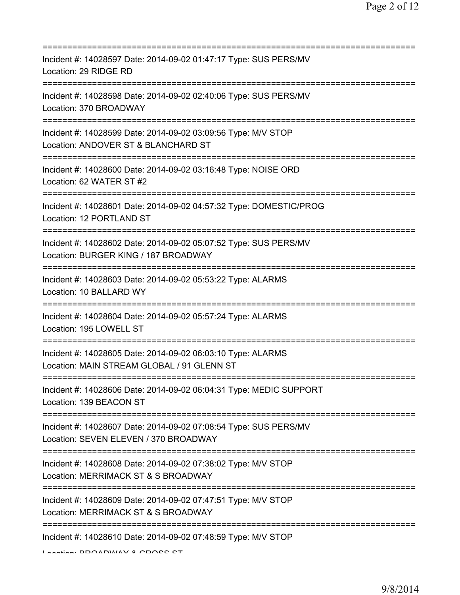| Incident #: 14028597 Date: 2014-09-02 01:47:17 Type: SUS PERS/MV<br>Location: 29 RIDGE RD                                                          |
|----------------------------------------------------------------------------------------------------------------------------------------------------|
| Incident #: 14028598 Date: 2014-09-02 02:40:06 Type: SUS PERS/MV<br>Location: 370 BROADWAY                                                         |
| Incident #: 14028599 Date: 2014-09-02 03:09:56 Type: M/V STOP<br>Location: ANDOVER ST & BLANCHARD ST<br>============================               |
| Incident #: 14028600 Date: 2014-09-02 03:16:48 Type: NOISE ORD<br>Location: 62 WATER ST #2                                                         |
| Incident #: 14028601 Date: 2014-09-02 04:57:32 Type: DOMESTIC/PROG<br>Location: 12 PORTLAND ST<br>=====================================            |
| Incident #: 14028602 Date: 2014-09-02 05:07:52 Type: SUS PERS/MV<br>Location: BURGER KING / 187 BROADWAY                                           |
| Incident #: 14028603 Date: 2014-09-02 05:53:22 Type: ALARMS<br>Location: 10 BALLARD WY                                                             |
| Incident #: 14028604 Date: 2014-09-02 05:57:24 Type: ALARMS<br>Location: 195 LOWELL ST                                                             |
| Incident #: 14028605 Date: 2014-09-02 06:03:10 Type: ALARMS<br>Location: MAIN STREAM GLOBAL / 91 GLENN ST                                          |
| Incident #: 14028606 Date: 2014-09-02 06:04:31 Type: MEDIC SUPPORT<br>Location: 139 BEACON ST                                                      |
| Incident #: 14028607 Date: 2014-09-02 07:08:54 Type: SUS PERS/MV<br>Location: SEVEN ELEVEN / 370 BROADWAY<br>===================================== |
| Incident #: 14028608 Date: 2014-09-02 07:38:02 Type: M/V STOP<br>Location: MERRIMACK ST & S BROADWAY<br>==================                         |
| Incident #: 14028609 Date: 2014-09-02 07:47:51 Type: M/V STOP<br>Location: MERRIMACK ST & S BROADWAY                                               |
| Incident #: 14028610 Date: 2014-09-02 07:48:59 Type: M/V STOP                                                                                      |

Location: BROADWAY & CROSS ST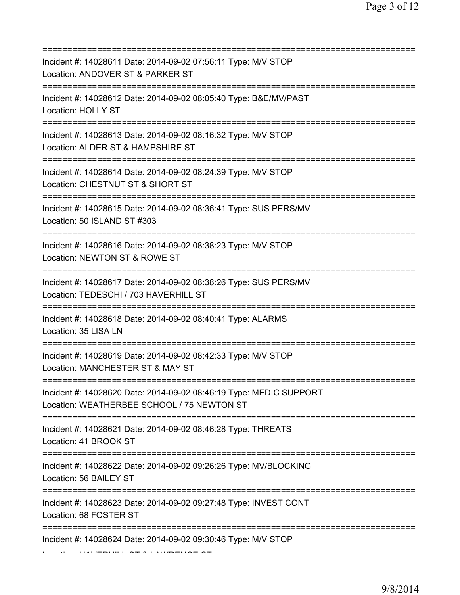| Incident #: 14028611 Date: 2014-09-02 07:56:11 Type: M/V STOP<br>Location: ANDOVER ST & PARKER ST                                      |
|----------------------------------------------------------------------------------------------------------------------------------------|
| Incident #: 14028612 Date: 2014-09-02 08:05:40 Type: B&E/MV/PAST<br><b>Location: HOLLY ST</b>                                          |
| Incident #: 14028613 Date: 2014-09-02 08:16:32 Type: M/V STOP<br>Location: ALDER ST & HAMPSHIRE ST                                     |
| Incident #: 14028614 Date: 2014-09-02 08:24:39 Type: M/V STOP<br>Location: CHESTNUT ST & SHORT ST                                      |
| Incident #: 14028615 Date: 2014-09-02 08:36:41 Type: SUS PERS/MV<br>Location: 50 ISLAND ST #303<br>=================================== |
| Incident #: 14028616 Date: 2014-09-02 08:38:23 Type: M/V STOP<br>Location: NEWTON ST & ROWE ST                                         |
| Incident #: 14028617 Date: 2014-09-02 08:38:26 Type: SUS PERS/MV<br>Location: TEDESCHI / 703 HAVERHILL ST                              |
| Incident #: 14028618 Date: 2014-09-02 08:40:41 Type: ALARMS<br>Location: 35 LISA LN                                                    |
| Incident #: 14028619 Date: 2014-09-02 08:42:33 Type: M/V STOP<br>Location: MANCHESTER ST & MAY ST                                      |
| Incident #: 14028620 Date: 2014-09-02 08:46:19 Type: MEDIC SUPPORT<br>Location: WEATHERBEE SCHOOL / 75 NEWTON ST                       |
| Incident #: 14028621 Date: 2014-09-02 08:46:28 Type: THREATS<br>Location: 41 BROOK ST                                                  |
| Incident #: 14028622 Date: 2014-09-02 09:26:26 Type: MV/BLOCKING<br>Location: 56 BAILEY ST                                             |
| Incident #: 14028623 Date: 2014-09-02 09:27:48 Type: INVEST CONT<br>Location: 68 FOSTER ST                                             |
| ================================<br>Incident #: 14028624 Date: 2014-09-02 09:30:46 Type: M/V STOP                                      |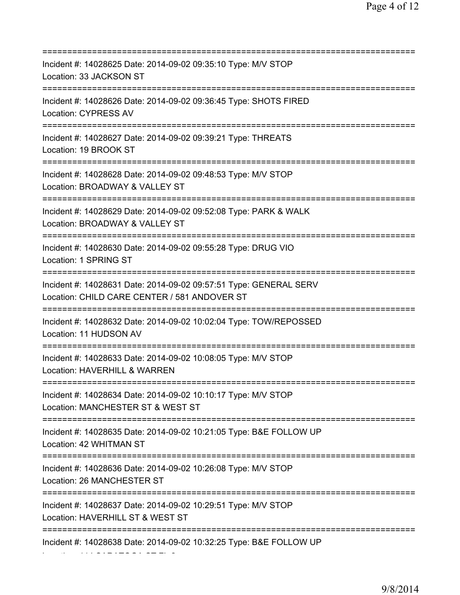| Incident #: 14028625 Date: 2014-09-02 09:35:10 Type: M/V STOP<br>Location: 33 JACKSON ST                                                    |
|---------------------------------------------------------------------------------------------------------------------------------------------|
| Incident #: 14028626 Date: 2014-09-02 09:36:45 Type: SHOTS FIRED<br><b>Location: CYPRESS AV</b>                                             |
| Incident #: 14028627 Date: 2014-09-02 09:39:21 Type: THREATS<br>Location: 19 BROOK ST                                                       |
| Incident #: 14028628 Date: 2014-09-02 09:48:53 Type: M/V STOP<br>Location: BROADWAY & VALLEY ST                                             |
| Incident #: 14028629 Date: 2014-09-02 09:52:08 Type: PARK & WALK<br>Location: BROADWAY & VALLEY ST<br>===================================== |
| Incident #: 14028630 Date: 2014-09-02 09:55:28 Type: DRUG VIO<br>Location: 1 SPRING ST<br>:==========================                       |
| Incident #: 14028631 Date: 2014-09-02 09:57:51 Type: GENERAL SERV<br>Location: CHILD CARE CENTER / 581 ANDOVER ST<br>=================      |
| Incident #: 14028632 Date: 2014-09-02 10:02:04 Type: TOW/REPOSSED<br>Location: 11 HUDSON AV                                                 |
| Incident #: 14028633 Date: 2014-09-02 10:08:05 Type: M/V STOP<br>Location: HAVERHILL & WARREN                                               |
| Incident #: 14028634 Date: 2014-09-02 10:10:17 Type: M/V STOP<br>Location: MANCHESTER ST & WEST ST                                          |
| =====================================<br>Incident #: 14028635 Date: 2014-09-02 10:21:05 Type: B&E FOLLOW UP<br>Location: 42 WHITMAN ST      |
| ;====================================<br>Incident #: 14028636 Date: 2014-09-02 10:26:08 Type: M/V STOP<br>Location: 26 MANCHESTER ST        |
| Incident #: 14028637 Date: 2014-09-02 10:29:51 Type: M/V STOP<br>Location: HAVERHILL ST & WEST ST                                           |
| Incident #: 14028638 Date: 2014-09-02 10:32:25 Type: B&E FOLLOW UP                                                                          |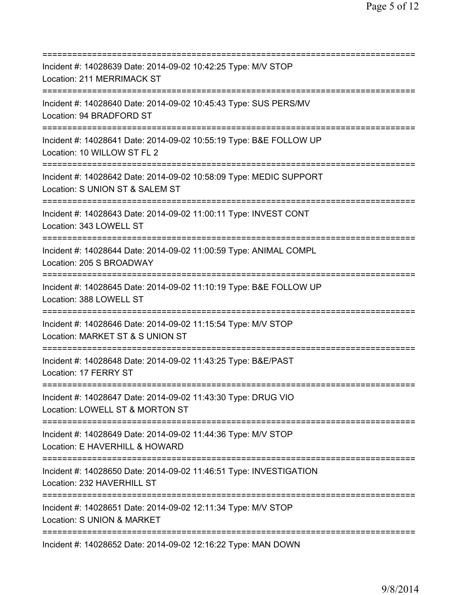| Incident #: 14028639 Date: 2014-09-02 10:42:25 Type: M/V STOP<br>Location: 211 MERRIMACK ST                                       |
|-----------------------------------------------------------------------------------------------------------------------------------|
| Incident #: 14028640 Date: 2014-09-02 10:45:43 Type: SUS PERS/MV<br>Location: 94 BRADFORD ST                                      |
| Incident #: 14028641 Date: 2014-09-02 10:55:19 Type: B&E FOLLOW UP<br>Location: 10 WILLOW ST FL 2<br>============================ |
| Incident #: 14028642 Date: 2014-09-02 10:58:09 Type: MEDIC SUPPORT<br>Location: S UNION ST & SALEM ST<br>====================     |
| Incident #: 14028643 Date: 2014-09-02 11:00:11 Type: INVEST CONT<br>Location: 343 LOWELL ST                                       |
| Incident #: 14028644 Date: 2014-09-02 11:00:59 Type: ANIMAL COMPL<br>Location: 205 S BROADWAY                                     |
| Incident #: 14028645 Date: 2014-09-02 11:10:19 Type: B&E FOLLOW UP<br>Location: 388 LOWELL ST                                     |
| Incident #: 14028646 Date: 2014-09-02 11:15:54 Type: M/V STOP<br>Location: MARKET ST & S UNION ST                                 |
| Incident #: 14028648 Date: 2014-09-02 11:43:25 Type: B&E/PAST<br>Location: 17 FERRY ST                                            |
| Incident #: 14028647 Date: 2014-09-02 11:43:30 Type: DRUG VIO<br>Location: LOWELL ST & MORTON ST                                  |
| Incident #: 14028649 Date: 2014-09-02 11:44:36 Type: M/V STOP<br>Location: E HAVERHILL & HOWARD                                   |
| Incident #: 14028650 Date: 2014-09-02 11:46:51 Type: INVESTIGATION<br>Location: 232 HAVERHILL ST                                  |
| Incident #: 14028651 Date: 2014-09-02 12:11:34 Type: M/V STOP<br>Location: S UNION & MARKET                                       |
| Incident #: 14028652 Date: 2014-09-02 12:16:22 Type: MAN DOWN                                                                     |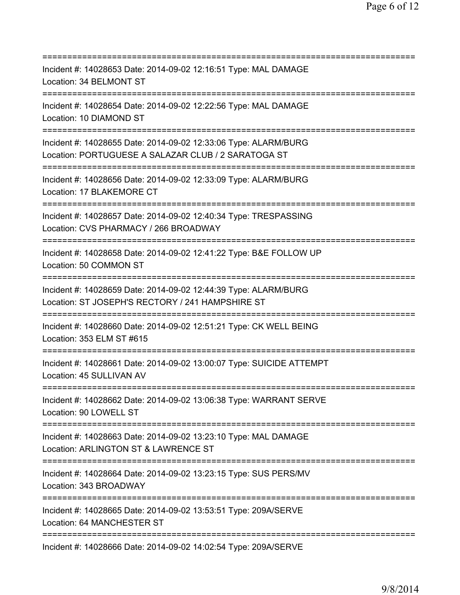=========================================================================== Incident #: 14028653 Date: 2014-09-02 12:16:51 Type: MAL DAMAGE Location: 34 BELMONT ST =========================================================================== Incident #: 14028654 Date: 2014-09-02 12:22:56 Type: MAL DAMAGE Location: 10 DIAMOND ST =========================================================================== Incident #: 14028655 Date: 2014-09-02 12:33:06 Type: ALARM/BURG Location: PORTUGUESE A SALAZAR CLUB / 2 SARATOGA ST =========================================================================== Incident #: 14028656 Date: 2014-09-02 12:33:09 Type: ALARM/BURG Location: 17 BLAKEMORE CT =========================================================================== Incident #: 14028657 Date: 2014-09-02 12:40:34 Type: TRESPASSING Location: CVS PHARMACY / 266 BROADWAY =========================================================================== Incident #: 14028658 Date: 2014-09-02 12:41:22 Type: B&E FOLLOW UP Location: 50 COMMON ST =========================================================================== Incident #: 14028659 Date: 2014-09-02 12:44:39 Type: ALARM/BURG Location: ST JOSEPH'S RECTORY / 241 HAMPSHIRE ST =========================================================================== Incident #: 14028660 Date: 2014-09-02 12:51:21 Type: CK WELL BEING Location: 353 ELM ST #615 =========================================================================== Incident #: 14028661 Date: 2014-09-02 13:00:07 Type: SUICIDE ATTEMPT Location: 45 SULLIVAN AV =========================================================================== Incident #: 14028662 Date: 2014-09-02 13:06:38 Type: WARRANT SERVE Location: 90 LOWELL ST =========================================================================== Incident #: 14028663 Date: 2014-09-02 13:23:10 Type: MAL DAMAGE Location: ARLINGTON ST & LAWRENCE ST =========================================================================== Incident #: 14028664 Date: 2014-09-02 13:23:15 Type: SUS PERS/MV Location: 343 BROADWAY =========================================================================== Incident #: 14028665 Date: 2014-09-02 13:53:51 Type: 209A/SERVE Location: 64 MANCHESTER ST =========================================================================== Incident #: 14028666 Date: 2014-09-02 14:02:54 Type: 209A/SERVE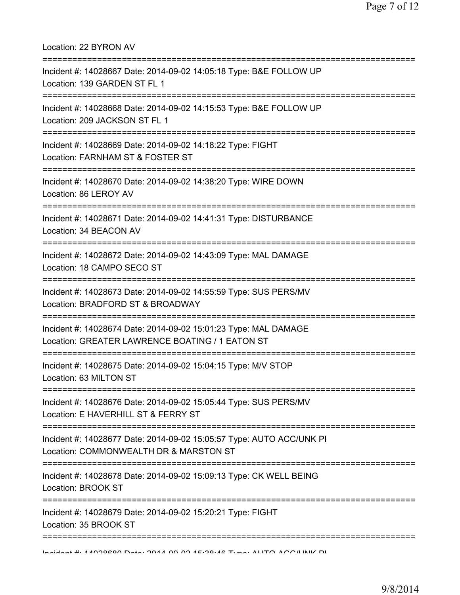Location: 22 BYRON AV =========================================================================== Incident #: 14028667 Date: 2014-09-02 14:05:18 Type: B&E FOLLOW UP Location: 139 GARDEN ST FL 1 =========================================================================== Incident #: 14028668 Date: 2014-09-02 14:15:53 Type: B&E FOLLOW UP Location: 209 JACKSON ST FL 1 =========================================================================== Incident #: 14028669 Date: 2014-09-02 14:18:22 Type: FIGHT Location: FARNHAM ST & FOSTER ST =========================================================================== Incident #: 14028670 Date: 2014-09-02 14:38:20 Type: WIRE DOWN Location: 86 LEROY AV =========================================================================== Incident #: 14028671 Date: 2014-09-02 14:41:31 Type: DISTURBANCE Location: 34 BEACON AV =========================================================================== Incident #: 14028672 Date: 2014-09-02 14:43:09 Type: MAL DAMAGE Location: 18 CAMPO SECO ST =========================================================================== Incident #: 14028673 Date: 2014-09-02 14:55:59 Type: SUS PERS/MV Location: BRADFORD ST & BROADWAY =========================================================================== Incident #: 14028674 Date: 2014-09-02 15:01:23 Type: MAL DAMAGE Location: GREATER LAWRENCE BOATING / 1 EATON ST =========================================================================== Incident #: 14028675 Date: 2014-09-02 15:04:15 Type: M/V STOP Location: 63 MILTON ST =========================================================================== Incident #: 14028676 Date: 2014-09-02 15:05:44 Type: SUS PERS/MV Location: E HAVERHILL ST & FERRY ST =========================================================================== Incident #: 14028677 Date: 2014-09-02 15:05:57 Type: AUTO ACC/UNK PI Location: COMMONWEALTH DR & MARSTON ST =========================================================================== Incident #: 14028678 Date: 2014-09-02 15:09:13 Type: CK WELL BEING Location: BROOK ST =========================================================================== Incident #: 14028679 Date: 2014-09-02 15:20:21 Type: FIGHT Location: 35 BROOK ST =========================================================================== Incident #: 14028680 Date: 2014 09 02 15:38:46 Type: AUTO ACC/UNK PI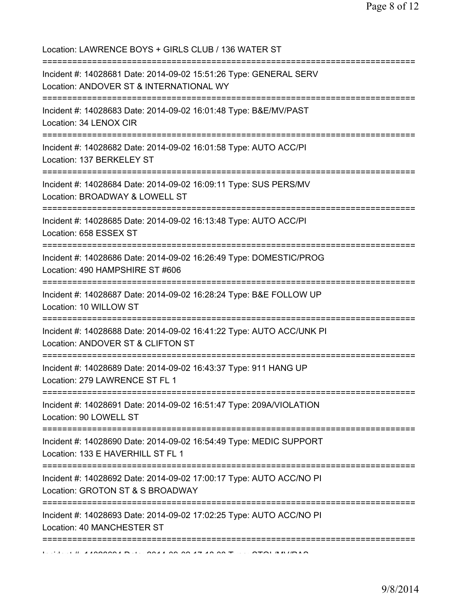Location: LAWRENCE BOYS + GIRLS CLUB / 136 WATER ST =========================================================================== Incident #: 14028681 Date: 2014-09-02 15:51:26 Type: GENERAL SERV Location: ANDOVER ST & INTERNATIONAL WY =========================================================================== Incident #: 14028683 Date: 2014-09-02 16:01:48 Type: B&E/MV/PAST Location: 34 LENOX CIR =========================================================================== Incident #: 14028682 Date: 2014-09-02 16:01:58 Type: AUTO ACC/PI Location: 137 BERKELEY ST =========================================================================== Incident #: 14028684 Date: 2014-09-02 16:09:11 Type: SUS PERS/MV Location: BROADWAY & LOWELL ST =========================================================================== Incident #: 14028685 Date: 2014-09-02 16:13:48 Type: AUTO ACC/PI Location: 658 ESSEX ST =========================================================================== Incident #: 14028686 Date: 2014-09-02 16:26:49 Type: DOMESTIC/PROG Location: 490 HAMPSHIRE ST #606 =========================================================================== Incident #: 14028687 Date: 2014-09-02 16:28:24 Type: B&E FOLLOW UP Location: 10 WILLOW ST =========================================================================== Incident #: 14028688 Date: 2014-09-02 16:41:22 Type: AUTO ACC/UNK PI Location: ANDOVER ST & CLIFTON ST =========================================================================== Incident #: 14028689 Date: 2014-09-02 16:43:37 Type: 911 HANG UP Location: 279 LAWRENCE ST FL 1 =========================================================================== Incident #: 14028691 Date: 2014-09-02 16:51:47 Type: 209A/VIOLATION Location: 90 LOWELL ST =========================================================================== Incident #: 14028690 Date: 2014-09-02 16:54:49 Type: MEDIC SUPPORT Location: 133 E HAVERHILL ST FL 1 =========================================================================== Incident #: 14028692 Date: 2014-09-02 17:00:17 Type: AUTO ACC/NO PI Location: GROTON ST & S BROADWAY =========================================================================== Incident #: 14028693 Date: 2014-09-02 17:02:25 Type: AUTO ACC/NO PI Location: 40 MANCHESTER ST ===========================================================================  $1$ ,  $\mu$  ,  $\mu$  1908861 Dete: 2014 09 08 17:18:08 Type: STOL/MV/DAS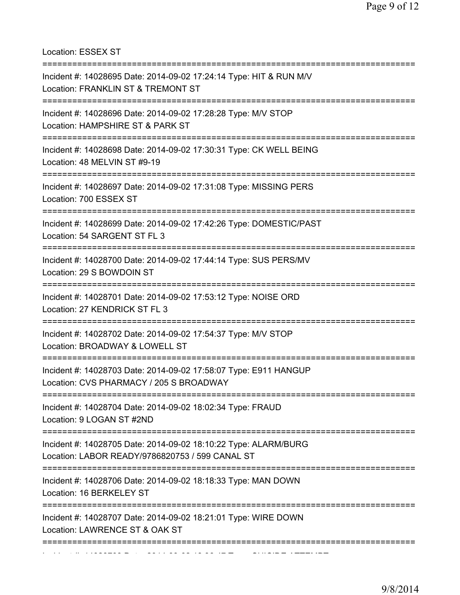Location: ESSEX ST

| Incident #: 14028695 Date: 2014-09-02 17:24:14 Type: HIT & RUN M/V<br>Location: FRANKLIN ST & TREMONT ST<br>============================== |
|--------------------------------------------------------------------------------------------------------------------------------------------|
| Incident #: 14028696 Date: 2014-09-02 17:28:28 Type: M/V STOP<br>Location: HAMPSHIRE ST & PARK ST                                          |
| Incident #: 14028698 Date: 2014-09-02 17:30:31 Type: CK WELL BEING<br>Location: 48 MELVIN ST #9-19                                         |
| Incident #: 14028697 Date: 2014-09-02 17:31:08 Type: MISSING PERS<br>Location: 700 ESSEX ST                                                |
| Incident #: 14028699 Date: 2014-09-02 17:42:26 Type: DOMESTIC/PAST<br>Location: 54 SARGENT ST FL 3                                         |
| Incident #: 14028700 Date: 2014-09-02 17:44:14 Type: SUS PERS/MV<br>Location: 29 S BOWDOIN ST<br>:=====================================    |
| Incident #: 14028701 Date: 2014-09-02 17:53:12 Type: NOISE ORD<br>Location: 27 KENDRICK ST FL 3                                            |
| Incident #: 14028702 Date: 2014-09-02 17:54:37 Type: M/V STOP<br>Location: BROADWAY & LOWELL ST                                            |
| :=========================<br>Incident #: 14028703 Date: 2014-09-02 17:58:07 Type: E911 HANGUP<br>Location: CVS PHARMACY / 205 S BROADWAY  |
| Incident #: 14028704 Date: 2014-09-02 18:02:34 Type: FRAUD<br>Location: 9 LOGAN ST #2ND                                                    |
| Incident #: 14028705 Date: 2014-09-02 18:10:22 Type: ALARM/BURG<br>Location: LABOR READY/9786820753 / 599 CANAL ST                         |
| Incident #: 14028706 Date: 2014-09-02 18:18:33 Type: MAN DOWN<br>Location: 16 BERKELEY ST                                                  |
| Incident #: 14028707 Date: 2014-09-02 18:21:01 Type: WIRE DOWN<br>Location: LAWRENCE ST & OAK ST                                           |
|                                                                                                                                            |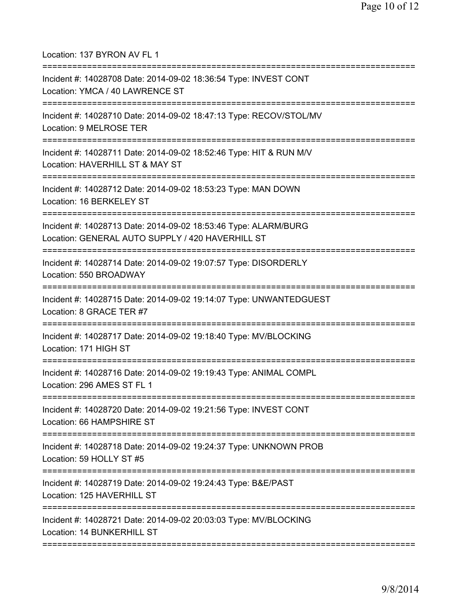Location: 137 BYRON AV FL 1

| Incident #: 14028708 Date: 2014-09-02 18:36:54 Type: INVEST CONT<br>Location: YMCA / 40 LAWRENCE ST                                       |
|-------------------------------------------------------------------------------------------------------------------------------------------|
| Incident #: 14028710 Date: 2014-09-02 18:47:13 Type: RECOV/STOL/MV<br>Location: 9 MELROSE TER                                             |
| Incident #: 14028711 Date: 2014-09-02 18:52:46 Type: HIT & RUN M/V<br>Location: HAVERHILL ST & MAY ST                                     |
| Incident #: 14028712 Date: 2014-09-02 18:53:23 Type: MAN DOWN<br>Location: 16 BERKELEY ST                                                 |
| Incident #: 14028713 Date: 2014-09-02 18:53:46 Type: ALARM/BURG<br>Location: GENERAL AUTO SUPPLY / 420 HAVERHILL ST<br>------------------ |
| Incident #: 14028714 Date: 2014-09-02 19:07:57 Type: DISORDERLY<br>Location: 550 BROADWAY                                                 |
| Incident #: 14028715 Date: 2014-09-02 19:14:07 Type: UNWANTEDGUEST<br>Location: 8 GRACE TER #7                                            |
| Incident #: 14028717 Date: 2014-09-02 19:18:40 Type: MV/BLOCKING<br>Location: 171 HIGH ST                                                 |
| Incident #: 14028716 Date: 2014-09-02 19:19:43 Type: ANIMAL COMPL<br>Location: 296 AMES ST FL 1                                           |
| Incident #: 14028720 Date: 2014-09-02 19:21:56 Type: INVEST CONT<br>Location: 66 HAMPSHIRE ST                                             |
| Incident #: 14028718 Date: 2014-09-02 19:24:37 Type: UNKNOWN PROB<br>Location: 59 HOLLY ST #5                                             |
| Incident #: 14028719 Date: 2014-09-02 19:24:43 Type: B&E/PAST<br>Location: 125 HAVERHILL ST                                               |
| Incident #: 14028721 Date: 2014-09-02 20:03:03 Type: MV/BLOCKING<br>Location: 14 BUNKERHILL ST                                            |
|                                                                                                                                           |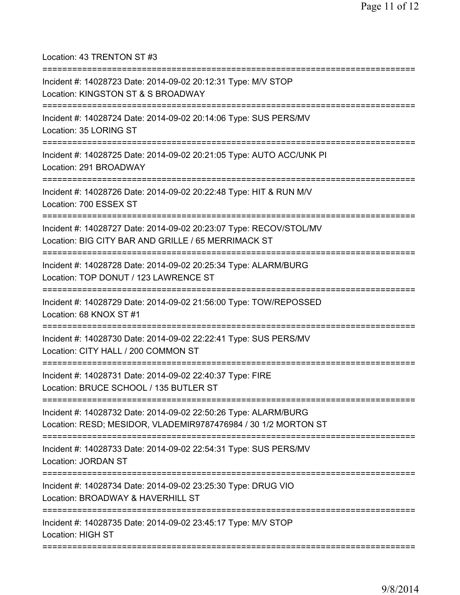Location: 43 TRENTON ST #3

| Incident #: 14028723 Date: 2014-09-02 20:12:31 Type: M/V STOP<br>Location: KINGSTON ST & S BROADWAY                                                                       |
|---------------------------------------------------------------------------------------------------------------------------------------------------------------------------|
| =========================<br>Incident #: 14028724 Date: 2014-09-02 20:14:06 Type: SUS PERS/MV<br>Location: 35 LORING ST                                                   |
| Incident #: 14028725 Date: 2014-09-02 20:21:05 Type: AUTO ACC/UNK PI<br>Location: 291 BROADWAY                                                                            |
| Incident #: 14028726 Date: 2014-09-02 20:22:48 Type: HIT & RUN M/V<br>Location: 700 ESSEX ST                                                                              |
| Incident #: 14028727 Date: 2014-09-02 20:23:07 Type: RECOV/STOL/MV<br>Location: BIG CITY BAR AND GRILLE / 65 MERRIMACK ST<br>;====================================        |
| Incident #: 14028728 Date: 2014-09-02 20:25:34 Type: ALARM/BURG<br>Location: TOP DONUT / 123 LAWRENCE ST                                                                  |
| Incident #: 14028729 Date: 2014-09-02 21:56:00 Type: TOW/REPOSSED<br>Location: 68 KNOX ST #1                                                                              |
| Incident #: 14028730 Date: 2014-09-02 22:22:41 Type: SUS PERS/MV<br>Location: CITY HALL / 200 COMMON ST                                                                   |
| Incident #: 14028731 Date: 2014-09-02 22:40:37 Type: FIRE<br>Location: BRUCE SCHOOL / 135 BUTLER ST                                                                       |
| ====================================<br>Incident #: 14028732 Date: 2014-09-02 22:50:26 Type: ALARM/BURG<br>Location: RESD; MESIDOR, VLADEMIR9787476984 / 30 1/2 MORTON ST |
| Incident #: 14028733 Date: 2014-09-02 22:54:31 Type: SUS PERS/MV<br>Location: JORDAN ST                                                                                   |
| :================<br>Incident #: 14028734 Date: 2014-09-02 23:25:30 Type: DRUG VIO<br>Location: BROADWAY & HAVERHILL ST                                                   |
| Incident #: 14028735 Date: 2014-09-02 23:45:17 Type: M/V STOP<br>Location: HIGH ST                                                                                        |
|                                                                                                                                                                           |